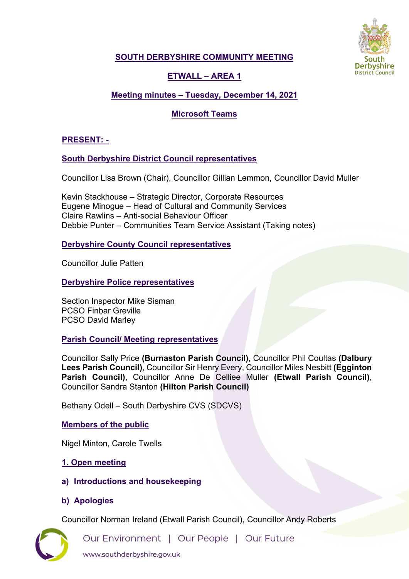

# **SOUTH DERBYSHIRE COMMUNITY MEETING**

# **ETWALL – AREA 1**

# **Meeting minutes – Tuesday, December 14, 2021**

## **Microsoft Teams**

## **PRESENT: -**

## **South Derbyshire District Council representatives**

Councillor Lisa Brown (Chair), Councillor Gillian Lemmon, Councillor David Muller

Kevin Stackhouse – Strategic Director, Corporate Resources Eugene Minogue – Head of Cultural and Community Services Claire Rawlins – Anti-social Behaviour Officer Debbie Punter – Communities Team Service Assistant (Taking notes)

## **Derbyshire County Council representatives**

Councillor Julie Patten

**Derbyshire Police representatives**

Section Inspector Mike Sisman PCSO Finbar Greville PCSO David Marley

**Parish Council/ Meeting representatives**

Councillor Sally Price **(Burnaston Parish Council)**, Councillor Phil Coultas **(Dalbury Lees Parish Council)**, Councillor Sir Henry Every, Councillor Miles Nesbitt **(Egginton Parish Council)**, Councillor Anne De Celliee Muller **(Etwall Parish Council)**, Councillor Sandra Stanton **(Hilton Parish Council)** 

Bethany Odell – South Derbyshire CVS (SDCVS)

## **Members of the public**

Nigel Minton, Carole Twells

## **1. Open meeting**

- **a) Introductions and housekeeping**
- **b) Apologies**

Councillor Norman Ireland (Etwall Parish Council), Councillor Andy Roberts



Our Environment | Our People | Our Future

www.southderbyshire.gov.uk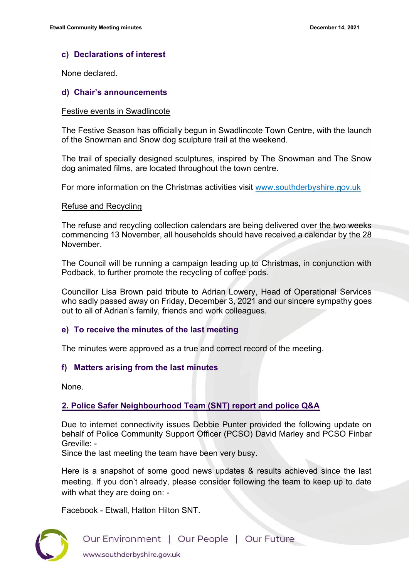## **c) Declarations of interest**

None declared.

#### **d) Chair's announcements**

#### Festive events in Swadlincote

The Festive Season has officially begun in Swadlincote Town Centre, with the launch of the Snowman and Snow dog sculpture trail at the weekend.

The trail of specially designed sculptures, inspired by The Snowman and The Snow dog animated films, are located throughout the town centre.

For more information on the Christmas activities visit [www.southderbyshire.gov.uk](http://www.southderbyshire.gov.uk/)

#### Refuse and Recycling

The refuse and recycling collection calendars are being delivered over the two weeks commencing 13 November, all households should have received a calendar by the 28 November.

The Council will be running a campaign leading up to Christmas, in conjunction with Podback, to further promote the recycling of coffee pods.

Councillor Lisa Brown paid tribute to Adrian Lowery, Head of Operational Services who sadly passed away on Friday, December 3, 2021 and our sincere sympathy goes out to all of Adrian's family, friends and work colleagues.

#### **e) To receive the minutes of the last meeting**

The minutes were approved as a true and correct record of the meeting.

## **f) Matters arising from the last minutes**

None.

## **2. Police Safer Neighbourhood Team (SNT) report and police Q&A**

Due to internet connectivity issues Debbie Punter provided the following update on behalf of Police Community Support Officer (PCSO) David Marley and PCSO Finbar Greville: -

Since the last meeting the team have been very busy.

Here is a snapshot of some good news updates & results achieved since the last meeting. If you don't already, please consider following the team to keep up to date with what they are doing on: -

Facebook - Etwall, Hatton Hilton SNT.

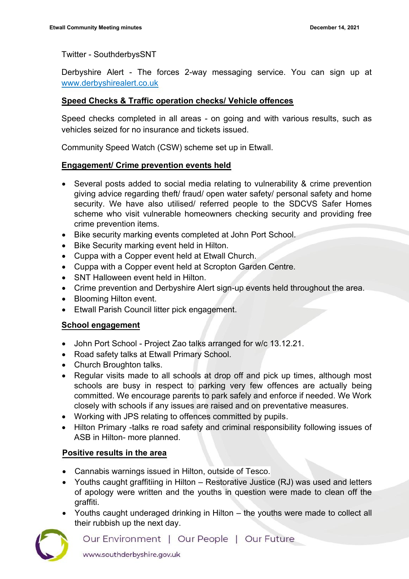Twitter - SouthderbysSNT

Derbyshire Alert - The forces 2-way messaging service. You can sign up at [www.derbyshirealert.co.uk](http://www.derbyshirealert.co.uk/)

## **Speed Checks & Traffic operation checks/ Vehicle offences**

Speed checks completed in all areas - on going and with various results, such as vehicles seized for no insurance and tickets issued.

Community Speed Watch (CSW) scheme set up in Etwall.

## **Engagement/ Crime prevention events held**

- Several posts added to social media relating to vulnerability & crime prevention giving advice regarding theft/ fraud/ open water safety/ personal safety and home security. We have also utilised/ referred people to the SDCVS Safer Homes scheme who visit vulnerable homeowners checking security and providing free crime prevention items.
- Bike security marking events completed at John Port School.
- Bike Security marking event held in Hilton.
- Cuppa with a Copper event held at Etwall Church.
- Cuppa with a Copper event held at Scropton Garden Centre.
- SNT Halloween event held in Hilton.
- Crime prevention and Derbyshire Alert sign-up events held throughout the area.
- Blooming Hilton event.
- Etwall Parish Council litter pick engagement.

## **School engagement**

- John Port School Project Zao talks arranged for w/c 13.12.21.
- Road safety talks at Etwall Primary School.
- Church Broughton talks.
- Regular visits made to all schools at drop off and pick up times, although most schools are busy in respect to parking very few offences are actually being committed. We encourage parents to park safely and enforce if needed. We Work closely with schools if any issues are raised and on preventative measures.
- Working with JPS relating to offences committed by pupils.
- Hilton Primary -talks re road safety and criminal responsibility following issues of ASB in Hilton- more planned.

## **Positive results in the area**

- Cannabis warnings issued in Hilton, outside of Tesco.
- Youths caught graffitiing in Hilton Restorative Justice (RJ) was used and letters of apology were written and the youths in question were made to clean off the graffiti.
- Youths caught underaged drinking in Hilton the youths were made to collect all their rubbish up the next day.

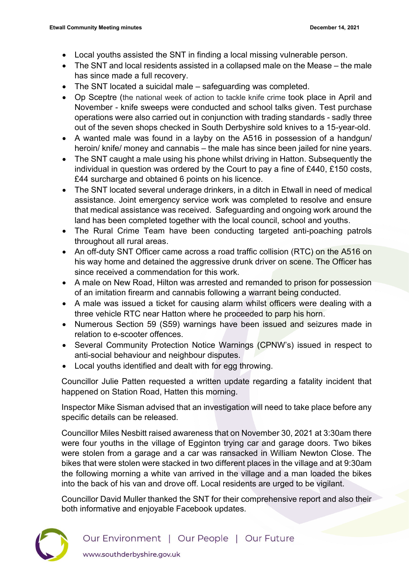- Local youths assisted the SNT in finding a local missing vulnerable person.
- The SNT and local residents assisted in a collapsed male on the Mease the male has since made a full recovery.
- The SNT located a suicidal male safeguarding was completed.
- Op Sceptre (the national week of action to tackle knife crime took place in April and November - knife sweeps were conducted and school talks given. Test purchase operations were also carried out in conjunction with trading standards - sadly three out of the seven shops checked in South Derbyshire sold knives to a 15-year-old.
- A wanted male was found in a layby on the A516 in possession of a handgun/ heroin/ knife/ money and cannabis – the male has since been jailed for nine years.
- The SNT caught a male using his phone whilst driving in Hatton. Subsequently the individual in question was ordered by the Court to pay a fine of £440, £150 costs, £44 surcharge and obtained 6 points on his licence.
- The SNT located several underage drinkers, in a ditch in Etwall in need of medical assistance. Joint emergency service work was completed to resolve and ensure that medical assistance was received. Safeguarding and ongoing work around the land has been completed together with the local council, school and youths.
- The Rural Crime Team have been conducting targeted anti-poaching patrols throughout all rural areas.
- An off-duty SNT Officer came across a road traffic collision (RTC) on the A516 on his way home and detained the aggressive drunk driver on scene. The Officer has since received a commendation for this work.
- A male on New Road, Hilton was arrested and remanded to prison for possession of an imitation firearm and cannabis following a warrant being conducted.
- A male was issued a ticket for causing alarm whilst officers were dealing with a three vehicle RTC near Hatton where he proceeded to parp his horn.
- Numerous Section 59 (S59) warnings have been issued and seizures made in relation to e-scooter offences.
- Several Community Protection Notice Warnings (CPNW's) issued in respect to anti-social behaviour and neighbour disputes.
- Local youths identified and dealt with for egg throwing.

Councillor Julie Patten requested a written update regarding a fatality incident that happened on Station Road, Hatten this morning.

Inspector Mike Sisman advised that an investigation will need to take place before any specific details can be released.

Councillor Miles Nesbitt raised awareness that on November 30, 2021 at 3:30am there were four youths in the village of Egginton trying car and garage doors. Two bikes were stolen from a garage and a car was ransacked in William Newton Close. The bikes that were stolen were stacked in two different places in the village and at 9:30am the following morning a white van arrived in the village and a man loaded the bikes into the back of his van and drove off. Local residents are urged to be vigilant.

Councillor David Muller thanked the SNT for their comprehensive report and also their both informative and enjoyable Facebook updates.

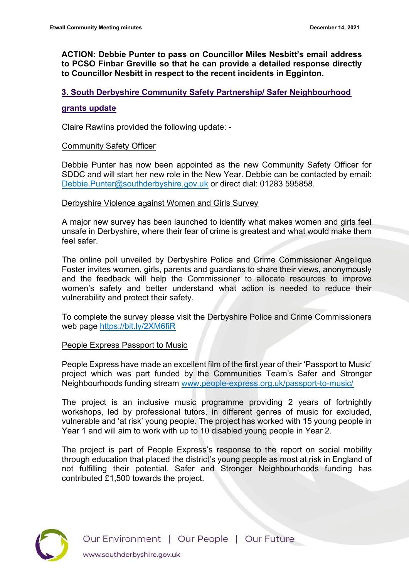**ACTION: Debbie Punter to pass on Councillor Miles Nesbitt's email address to PCSO Finbar Greville so that he can provide a detailed response directly to Councillor Nesbitt in respect to the recent incidents in Egginton.**

## **3. South Derbyshire Community Safety Partnership/ Safer Neighbourhood**

#### **grants update**

Claire Rawlins provided the following update: -

#### Community Safety Officer

Debbie Punter has now been appointed as the new Community Safety Officer for SDDC and will start her new role in the New Year. Debbie can be contacted by email: [Debbie.Punter@southderbyshire.gov.uk](mailto:Debbie.Punter@southderbyshire.gov.uk) or direct dial: 01283 595858.

#### Derbyshire Violence against Women and Girls Survey

A major new survey has been launched to identify what makes women and girls feel unsafe in Derbyshire, where their fear of crime is greatest and what would make them feel safer.

The online poll unveiled by Derbyshire Police and Crime Commissioner Angelique Foster invites women, girls, parents and guardians to share their views, anonymously and the feedback will help the Commissioner to allocate resources to improve women's safety and better understand what action is needed to reduce their vulnerability and protect their safety.

To complete the survey please visit the Derbyshire Police and Crime Commissioners web page <https://bit.ly/2XM6fiR>

## People Express Passport to Music

People Express have made an excellent film of the first year of their 'Passport to Music' project which was part funded by the Communities Team's Safer and Stronger Neighbourhoods funding stream [www.people-express.org.uk/passport-to-music/](http://www.people-express.org.uk/passport-to-music/)

The project is an inclusive music programme providing 2 years of fortnightly workshops, led by professional tutors, in different genres of music for excluded, vulnerable and 'at risk' young people. The project has worked with 15 young people in Year 1 and will aim to work with up to 10 disabled young people in Year 2.

The project is part of People Express's response to the report on social mobility through education that placed the district's young people as most at risk in England of not fulfilling their potential. Safer and Stronger Neighbourhoods funding has contributed £1,500 towards the project.

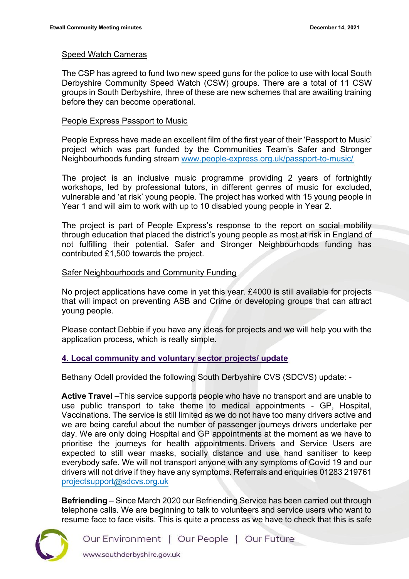#### Speed Watch Cameras

The CSP has agreed to fund two new speed guns for the police to use with local South Derbyshire Community Speed Watch (CSW) groups. There are a total of 11 CSW groups in South Derbyshire, three of these are new schemes that are awaiting training before they can become operational.

#### People Express Passport to Music

People Express have made an excellent film of the first year of their 'Passport to Music' project which was part funded by the Communities Team's Safer and Stronger Neighbourhoods funding stream [www.people-express.org.uk/passport-to-music/](http://www.people-express.org.uk/passport-to-music/)

The project is an inclusive music programme providing 2 years of fortnightly workshops, led by professional tutors, in different genres of music for excluded, vulnerable and 'at risk' young people. The project has worked with 15 young people in Year 1 and will aim to work with up to 10 disabled young people in Year 2.

The project is part of People Express's response to the report on social mobility through education that placed the district's young people as most at risk in England of not fulfilling their potential. Safer and Stronger Neighbourhoods funding has contributed £1,500 towards the project.

#### Safer Neighbourhoods and Community Funding

No project applications have come in yet this year. £4000 is still available for projects that will impact on preventing ASB and Crime or developing groups that can attract young people.

Please contact Debbie if you have any ideas for projects and we will help you with the application process, which is really simple.

## **4. Local community and voluntary sector projects/ update**

Bethany Odell provided the following South Derbyshire CVS (SDCVS) update: -

**Active Travel** –This service supports people who have no transport and are unable to use public transport to take theme to medical appointments - GP, Hospital, Vaccinations. The service is still limited as we do not have too many drivers active and we are being careful about the number of passenger journeys drivers undertake per day. We are only doing Hospital and GP appointments at the moment as we have to prioritise the journeys for health appointments. Drivers and Service Users are expected to still wear masks, socially distance and use hand sanitiser to keep everybody safe. We will not transport anyone with any symptoms of Covid 19 and our drivers will not drive if they have any symptoms. Referrals and enquiries 01283 219761 [projectsupport@sdcvs.org.uk](mailto:projectsupport@sdcvs.org.uk)

**Befriending** – Since March 2020 our Befriending Service has been carried out through telephone calls. We are beginning to talk to volunteers and service users who want to resume face to face visits. This is quite a process as we have to check that this is safe

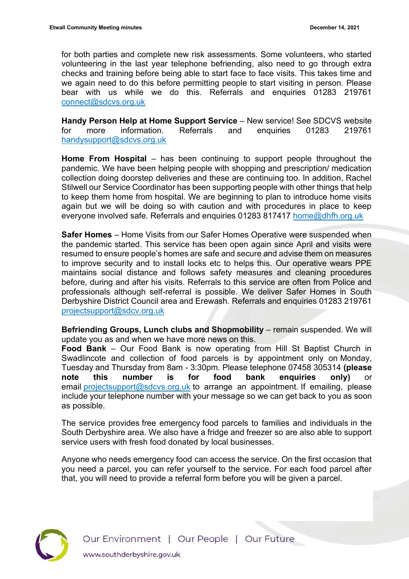for both parties and complete new risk assessments. Some volunteers, who started volunteering in the last year telephone befriending, also need to go through extra checks and training before being able to start face to face visits. This takes time and we again need to do this before permitting people to start visiting in person. Please bear with us while we do this. Referrals and enquiries 01283 219761 [connect@sdcvs.org.uk](mailto:connect@sdcvs.org.uk)

**Handy Person Help at Home Support Service** – New service! See SDCVS website for more information. Referrals and enquiries 01283 219761 [handysupport@sdcvs.org.uk](mailto:handysupport@sdcvs.org.uk)

**Home From Hospital** – has been continuing to support people throughout the pandemic. We have been helping people with shopping and prescription/ medication collection doing doorstep deliveries and these are continuing too. In addition, Rachel Stilwell our Service Coordinator has been supporting people with other things that help to keep them home from hospital. We are beginning to plan to introduce home visits again but we will be doing so with caution and with procedures in place to keep everyone involved safe. Referrals and enquiries 01283 817417 [home@dhfh.org.uk](mailto:home@dhfh.org.uk)

**Safer Homes** – Home Visits from our Safer Homes Operative were suspended when the pandemic started. This service has been open again since April and visits were resumed to ensure people's homes are safe and secure and advise them on measures to improve security and to install locks etc to helps this. Our operative wears PPE maintains social distance and follows safety measures and cleaning procedures before, during and after his visits. Referrals to this service are often from Police and professionals although self-referral is possible. We deliver Safer Homes in South Derbyshire District Council area and Erewash. Referrals and enquiries 01283 219761 [projectsupport@sdcv.org.uk](mailto:projectsupport@sdcv.org.uk)

**Befriending Groups, Lunch clubs and Shopmobility** – remain suspended. We will update you as and when we have more news on this.

**Food Bank** – Our Food Bank is now operating from Hill St Baptist Church in Swadlincote and collection of food parcels is by appointment only on Monday, Tuesday and Thursday from 8am - 3:30pm. Please telephone 07458 305314 **(please note this number is for food bank enquiries only)** or email [projectsupport@sdcvs.org.uk](mailto:projectsupport@sdcvs.org.uk) to arrange an appointment. If emailing, please include your telephone number with your message so we can get back to you as soon as possible.

The service provides free emergency food parcels to families and individuals in the South Derbyshire area. We also have a fridge and freezer so are also able to support service users with fresh food donated by local businesses.

Anyone who needs emergency food can access the service. On the first occasion that you need a parcel, you can refer yourself to the service. For each food parcel after that, you will need to provide a referral form before you will be given a parcel.

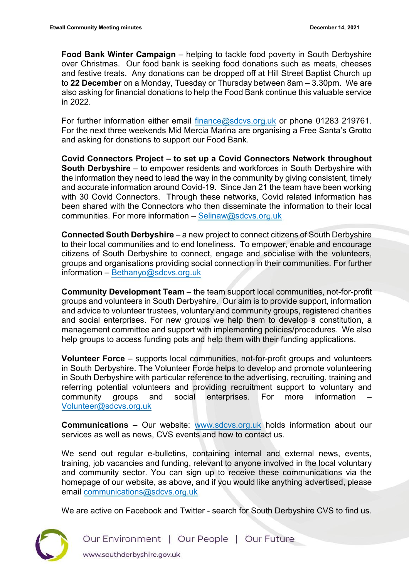**Food Bank Winter Campaign** – helping to tackle food poverty in South Derbyshire over Christmas. Our food bank is seeking food donations such as meats, cheeses and festive treats. Any donations can be dropped off at Hill Street Baptist Church up to **22 December** on a Monday, Tuesday or Thursday between 8am – 3.30pm. We are also asking for financial donations to help the Food Bank continue this valuable service in 2022.

For further information either email [finance@sdcvs.org.uk](mailto:finance@sdcvs.org.uk) or phone 01283 219761. For the next three weekends Mid Mercia Marina are organising a Free Santa's Grotto and asking for donations to support our Food Bank.

**Covid Connectors Project – to set up a Covid Connectors Network throughout South Derbyshire** – to empower residents and workforces in South Derbyshire with the information they need to lead the way in the community by giving consistent, timely and accurate information around Covid-19. Since Jan 21 the team have been working with 30 Covid Connectors. Through these networks, Covid related information has been shared with the Connectors who then disseminate the information to their local communities. For more information – [Selinaw@sdcvs.org.uk](mailto:Selinaw@sdcvs.org.uk)

**Connected South Derbyshire** – a new project to connect citizens of South Derbyshire to their local communities and to end loneliness. To empower, enable and encourage citizens of South Derbyshire to connect, engage and socialise with the volunteers, groups and organisations providing social connection in their communities. For further information – [Bethanyo@sdcvs.org.uk](mailto:Bethanyo@sdcvs.org.uk)

**Community Development Team** – the team support local communities, not-for-profit groups and volunteers in South Derbyshire. Our aim is to provide support, information and advice to volunteer trustees, voluntary and community groups, registered charities and social enterprises. For new groups we help them to develop a constitution, a management committee and support with implementing policies/procedures. We also help groups to access funding pots and help them with their funding applications.

**Volunteer Force** – supports local communities, not-for-profit groups and volunteers in South Derbyshire. The Volunteer Force helps to develop and promote volunteering in South Derbyshire with particular reference to the advertising, recruiting, training and referring potential volunteers and providing recruitment support to voluntary and community groups and social enterprises. For more information – [Volunteer@sdcvs.org.uk](mailto:Volunteer@sdcvs.org.uk)

**Communications** – Our website: [www.sdcvs.org.uk](http://www.sdcvs.org.uk/) holds information about our services as well as news, CVS events and how to contact us.

We send out regular e-bulletins, containing internal and external news, events, training, job vacancies and funding, relevant to anyone involved in the local voluntary and community sector. You can sign up to receive these communications via the homepage of our website, as above, and if you would like anything advertised, please email [communications@sdcvs.org.uk](mailto:communications@sdcvs.org.uk)

We are active on Facebook and Twitter - search for South Derbyshire CVS to find us.

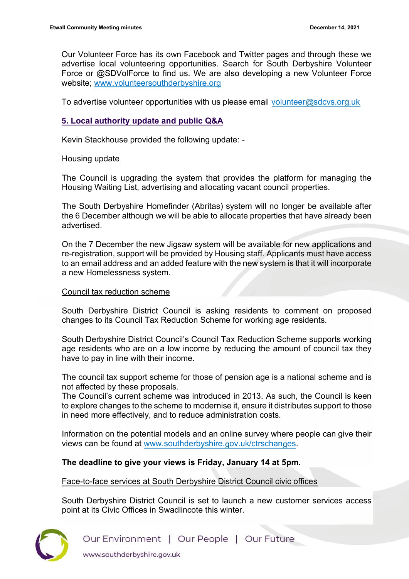Our Volunteer Force has its own Facebook and Twitter pages and through these we advertise local volunteering opportunities. Search for South Derbyshire Volunteer Force or @SDVolForce to find us. We are also developing a new Volunteer Force website; [www.volunteersouthderbyshire.org](http://www.volunteersouthderbyshire.org/)

To advertise volunteer opportunities with us please email [volunteer@sdcvs.org.uk](mailto:volunteer@sdcvs.org.uk)

## **5. Local authority update and public Q&A**

Kevin Stackhouse provided the following update: -

#### Housing update

The Council is upgrading the system that provides the platform for managing the Housing Waiting List, advertising and allocating vacant council properties.

The South Derbyshire Homefinder (Abritas) system will no longer be available after the 6 December although we will be able to allocate properties that have already been advertised.

On the 7 December the new Jigsaw system will be available for new applications and re-registration, support will be provided by Housing staff. Applicants must have access to an email address and an added feature with the new system is that it will incorporate a new Homelessness system.

#### Council tax reduction scheme

South Derbyshire District Council is asking residents to comment on proposed changes to its Council Tax Reduction Scheme for working age residents.

South Derbyshire District Council's Council Tax Reduction Scheme supports working age residents who are on a low income by reducing the amount of council tax they have to pay in line with their income.

The council tax support scheme for those of pension age is a national scheme and is not affected by these proposals.

The Council's current scheme was introduced in 2013. As such, the Council is keen to explore changes to the scheme to modernise it, ensure it distributes support to those in need more effectively, and to reduce administration costs.

Information on the potential models and an online survey where people can give their views can be found at [www.southderbyshire.gov.uk/ctrschanges.](http://www.southderbyshire.gov.uk/ctrschanges)

## **The deadline to give your views is Friday, January 14 at 5pm.**

Face-to-face services at South Derbyshire District Council civic offices

South Derbyshire District Council is set to launch a new customer services access point at its Civic Offices in Swadlincote this winter.

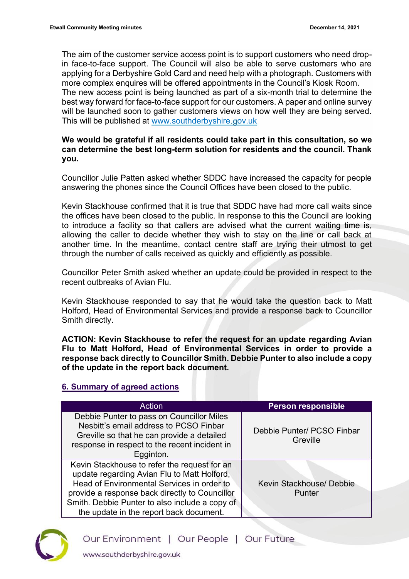The aim of the customer service access point is to support customers who need dropin face-to-face support. The Council will also be able to serve customers who are applying for a Derbyshire Gold Card and need help with a photograph. Customers with more complex enquires will be offered appointments in the Council's Kiosk Room. The new access point is being launched as part of a six-month trial to determine the best way forward for face-to-face support for our customers. A paper and online survey will be launched soon to gather customers views on how well they are being served. This will be published at [www.southderbyshire.gov.uk](http://www.southderbyshire.gov.uk/)

## **We would be grateful if all residents could take part in this consultation, so we can determine the best long-term solution for residents and the council. Thank you.**

Councillor Julie Patten asked whether SDDC have increased the capacity for people answering the phones since the Council Offices have been closed to the public.

Kevin Stackhouse confirmed that it is true that SDDC have had more call waits since the offices have been closed to the public. In response to this the Council are looking to introduce a facility so that callers are advised what the current waiting time is, allowing the caller to decide whether they wish to stay on the line or call back at another time. In the meantime, contact centre staff are trying their utmost to get through the number of calls received as quickly and efficiently as possible.

Councillor Peter Smith asked whether an update could be provided in respect to the recent outbreaks of Avian Flu.

Kevin Stackhouse responded to say that he would take the question back to Matt Holford, Head of Environmental Services and provide a response back to Councillor Smith directly.

**ACTION: Kevin Stackhouse to refer the request for an update regarding Avian Flu to Matt Holford, Head of Environmental Services in order to provide a response back directly to Councillor Smith. Debbie Punter to also include a copy of the update in the report back document.**

## **6. Summary of agreed actions**

| Action                                                                                                                                                                                                                                                                                   | <b>Person responsible</b>              |
|------------------------------------------------------------------------------------------------------------------------------------------------------------------------------------------------------------------------------------------------------------------------------------------|----------------------------------------|
| Debbie Punter to pass on Councillor Miles<br>Nesbitt's email address to PCSO Finbar<br>Greville so that he can provide a detailed<br>response in respect to the recent incident in<br>Egginton.                                                                                          | Debbie Punter/ PCSO Finbar<br>Greville |
| Kevin Stackhouse to refer the request for an<br>update regarding Avian Flu to Matt Holford,<br>Head of Environmental Services in order to<br>provide a response back directly to Councillor<br>Smith. Debbie Punter to also include a copy of<br>the update in the report back document. | Kevin Stackhouse/ Debbie<br>Punter     |